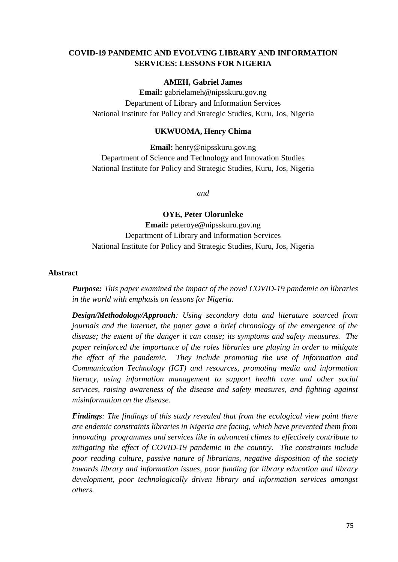# **COVID-19 PANDEMIC AND EVOLVING LIBRARY AND INFORMATION SERVICES: LESSONS FOR NIGERIA**

#### **AMEH, Gabriel James**

**Email:** gabrielameh@nipsskuru.gov.ng Department of Library and Information Services National Institute for Policy and Strategic Studies, Kuru, Jos, Nigeria

#### **UKWUOMA, Henry Chima**

**Email:** henry@nipsskuru.gov.ng Department of Science and Technology and Innovation Studies National Institute for Policy and Strategic Studies, Kuru, Jos, Nigeria

*and* 

**OYE, Peter Olorunleke** 

**Email:** peteroye@nipsskuru.gov.ng Department of Library and Information Services National Institute for Policy and Strategic Studies, Kuru, Jos, Nigeria

#### **Abstract**

*Purpose: This paper examined the impact of the novel COVID-19 pandemic on libraries in the world with emphasis on lessons for Nigeria.* 

*Design/Methodology/Approach: Using secondary data and literature sourced from journals and the Internet, the paper gave a brief chronology of the emergence of the disease; the extent of the danger it can cause; its symptoms and safety measures. The paper reinforced the importance of the roles libraries are playing in order to mitigate the effect of the pandemic. They include promoting the use of Information and Communication Technology (ICT) and resources, promoting media and information literacy, using information management to support health care and other social services, raising awareness of the disease and safety measures, and fighting against misinformation on the disease.* 

*Findings: The findings of this study revealed that from the ecological view point there are endemic constraints libraries in Nigeria are facing, which have prevented them from innovating programmes and services like in advanced climes to effectively contribute to mitigating the effect of COVID-19 pandemic in the country. The constraints include poor reading culture, passive nature of librarians, negative disposition of the society towards library and information issues, poor funding for library education and library development, poor technologically driven library and information services amongst others.*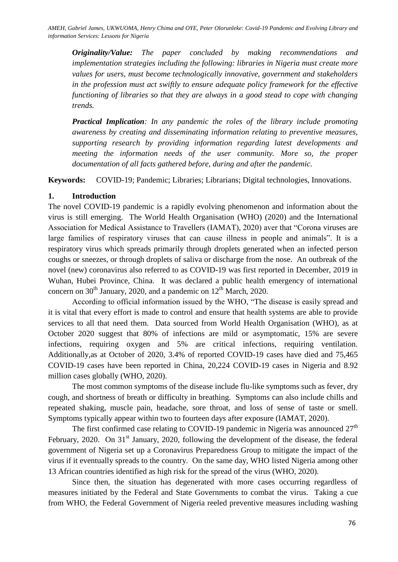*Originality/Value: The paper concluded by making recommendations and implementation strategies including the following: libraries in Nigeria must create more values for users, must become technologically innovative, government and stakeholders in the profession must act swiftly to ensure adequate policy framework for the effective functioning of libraries so that they are always in a good stead to cope with changing trends.*

*Practical Implication: In any pandemic the roles of the library include promoting awareness by creating and disseminating information relating to preventive measures, supporting research by providing information regarding latest developments and meeting the information needs of the user community. More so, the proper documentation of all facts gathered before, during and after the pandemic.*

**Keywords:** COVID-19; Pandemic; Libraries; Librarians; Digital technologies, Innovations.

# **1. Introduction**

The novel COVID-19 pandemic is a rapidly evolving phenomenon and information about the virus is still emerging. The World Health Organisation (WHO) (2020) and the International Association for Medical Assistance to Travellers (IAMAT), 2020) aver that "Corona viruses are large families of respiratory viruses that can cause illness in people and animals". It is a respiratory virus which spreads primarily through droplets generated when an infected person coughs or sneezes, or through droplets of saliva or discharge from the nose. An outbreak of the novel (new) coronavirus also referred to as COVID-19 was first reported in December, 2019 in Wuhan, Hubei Province, China. It was declared a public health emergency of international concern on  $30<sup>th</sup>$  January, 2020, and a pandemic on  $12<sup>th</sup>$  March, 2020.

According to official information issued by the WHO, "The disease is easily spread and it is vital that every effort is made to control and ensure that health systems are able to provide services to all that need them. Data sourced from World Health Organisation (WHO), as at October 2020 suggest that 80% of infections are mild or asymptomatic, 15% are severe infections, requiring oxygen and 5% are critical infections, requiring ventilation. Additionally,as at October of 2020, 3.4% of reported COVID-19 cases have died and 75,465 COVID-19 cases have been reported in China, 20,224 COVID-19 cases in Nigeria and 8.92 million cases globally (WHO, 2020).

The most common symptoms of the disease include flu-like symptoms such as fever, dry cough, and shortness of breath or difficulty in breathing. Symptoms can also include chills and repeated shaking, muscle pain, headache, sore throat, and loss of sense of taste or smell. Symptoms typically appear within two to fourteen days after exposure (IAMAT, 2020).

The first confirmed case relating to COVID-19 pandemic in Nigeria was announced  $27<sup>th</sup>$ February, 2020. On 31<sup>st</sup> January, 2020, following the development of the disease, the federal government of Nigeria set up a Coronavirus Preparedness Group to mitigate the impact of the virus if it eventually spreads to the country. On the same day, WHO listed Nigeria among other 13 African countries identified as high risk for the spread of the virus (WHO, 2020).

Since then, the situation has degenerated with more cases occurring regardless of measures initiated by the Federal and State Governments to combat the virus. Taking a cue from WHO, the Federal Government of Nigeria reeled preventive measures including washing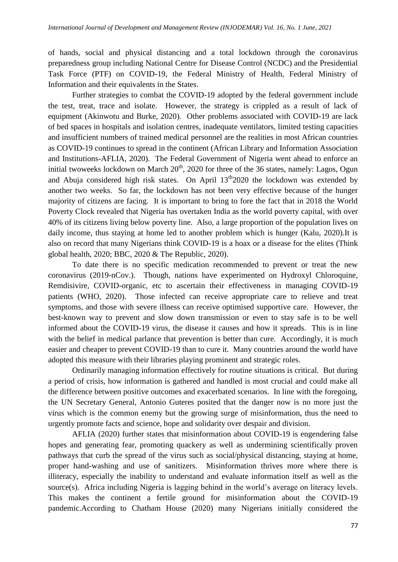of hands, social and physical distancing and a total lockdown through the coronavirus preparedness group including National Centre for Disease Control (NCDC) and the Presidential Task Force (PTF) on COVID-19, the Federal Ministry of Health, Federal Ministry of Information and their equivalents in the States.

Further strategies to combat the COVID-19 adopted by the federal government include the test, treat, trace and isolate. However, the strategy is crippled as a result of lack of equipment (Akinwotu and Burke, 2020). Other problems associated with COVID-19 are lack of bed spaces in hospitals and isolation centres, inadequate ventilators, limited testing capacities and insufficient numbers of trained medical personnel are the realities in most African countries as COVID-19 continues to spread in the continent (African Library and Information Association and Institutions-AFLIA, 2020). The Federal Government of Nigeria went ahead to enforce an initial twoweeks lockdown on March  $20<sup>th</sup>$ , 2020 for three of the 36 states, namely: Lagos, Ogun and Abuja considered high risk states. On April  $13<sup>th</sup>2020$  the lockdown was extended by another two weeks. So far, the lockdown has not been very effective because of the hunger majority of citizens are facing. It is important to bring to fore the fact that in 2018 the World Poverty Clock revealed that Nigeria has overtaken India as the world poverty capital, with over 40% of its citizens living below poverty line. Also, a large proportion of the population lives on daily income, thus staying at home led to another problem which is hunger (Kalu, 2020).It is also on record that many Nigerians think COVID-19 is a hoax or a disease for the elites (Think global health, 2020; BBC, 2020 & The Republic, 2020).

To date there is no specific medication recommended to prevent or treat the new coronavirus (2019-nCov.). Though, nations have experimented on Hydroxyl Chloroquine, Remdisivire, COVID-organic, etc to ascertain their effectiveness in managing COVID-19 patients (WHO, 2020). Those infected can receive appropriate care to relieve and treat symptoms, and those with severe illness can receive optimised supportive care. However, the best-known way to prevent and slow down transmission or even to stay safe is to be well informed about the COVID-19 virus, the disease it causes and how it spreads. This is in line with the belief in medical parlance that prevention is better than cure. Accordingly, it is much easier and cheaper to prevent COVID-19 than to cure it. Many countries around the world have adopted this measure with their libraries playing prominent and strategic roles.

Ordinarily managing information effectively for routine situations is critical. But during a period of crisis, how information is gathered and handled is most crucial and could make all the difference between positive outcomes and exacerbated scenarios. In line with the foregoing, the UN Secretary General, Antonio Guteres posited that the danger now is no more just the virus which is the common enemy but the growing surge of misinformation, thus the need to urgently promote facts and science, hope and solidarity over despair and division.

AFLIA (2020) further states that misinformation about COVID-19 is engendering false hopes and generating fear, promoting quackery as well as undermining scientifically proven pathways that curb the spread of the virus such as social/physical distancing, staying at home, proper hand-washing and use of sanitizers. Misinformation thrives more where there is illiteracy, especially the inability to understand and evaluate information itself as well as the source(s). Africa including Nigeria is lagging behind in the world's average on literacy levels. This makes the continent a fertile ground for misinformation about the COVID-19 pandemic.According to Chatham House (2020) many Nigerians initially considered the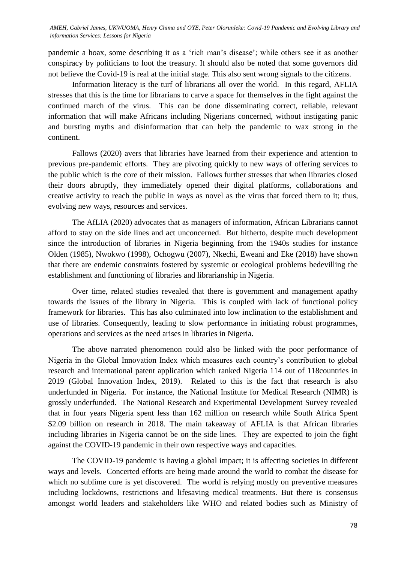AMEH, Gabriel James, UKWUOMA, Henry Chima and OYE, Peter Olorunleke: Covid-19 Pandemic and Evolving Library and *information Services: Lessons for Nigeria*

pandemic a hoax, some describing it as a 'rich man's disease'; while others see it as another conspiracy by politicians to loot the treasury. It should also be noted that some governors did not believe the Covid-19 is real at the initial stage. This also sent wrong signals to the citizens.

Information literacy is the turf of librarians all over the world. In this regard, AFLIA stresses that this is the time for librarians to carve a space for themselves in the fight against the continued march of the virus. This can be done disseminating correct, reliable, relevant information that will make Africans including Nigerians concerned, without instigating panic and bursting myths and disinformation that can help the pandemic to wax strong in the continent.

Fallows (2020) avers that libraries have learned from their experience and attention to previous pre-pandemic efforts. They are pivoting quickly to new ways of offering services to the public which is the core of their mission. Fallows further stresses that when libraries closed their doors abruptly, they immediately opened their digital platforms, collaborations and creative activity to reach the public in ways as novel as the virus that forced them to it; thus, evolving new ways, resources and services.

The AfLIA (2020) advocates that as managers of information, African Librarians cannot afford to stay on the side lines and act unconcerned. But hitherto, despite much development since the introduction of libraries in Nigeria beginning from the 1940s studies for instance Olden (1985), Nwokwo (1998), Ochogwu (2007), Nkechi, Eweani and Eke (2018) have shown that there are endemic constraints fostered by systemic or ecological problems bedevilling the establishment and functioning of libraries and librarianship in Nigeria.

Over time, related studies revealed that there is government and management apathy towards the issues of the library in Nigeria. This is coupled with lack of functional policy framework for libraries. This has also culminated into low inclination to the establishment and use of libraries. Consequently, leading to slow performance in initiating robust programmes, operations and services as the need arises in libraries in Nigeria.

The above narrated phenomenon could also be linked with the poor performance of Nigeria in the Global Innovation Index which measures each country's contribution to global research and international patent application which ranked Nigeria 114 out of 118countries in 2019 (Global Innovation Index, 2019). Related to this is the fact that research is also underfunded in Nigeria. For instance, the National Institute for Medical Research (NIMR) is grossly underfunded. The National Research and Experimental Development Survey revealed that in four years Nigeria spent less than 162 million on research while South Africa Spent \$2.09 billion on research in 2018. The main takeaway of AFLIA is that African libraries including libraries in Nigeria cannot be on the side lines. They are expected to join the fight against the COVID-19 pandemic in their own respective ways and capacities.

The COVID-19 pandemic is having a global impact; it is affecting societies in different ways and levels. Concerted efforts are being made around the world to combat the disease for which no sublime cure is yet discovered. The world is relying mostly on preventive measures including lockdowns, restrictions and lifesaving medical treatments. But there is consensus amongst world leaders and stakeholders like WHO and related bodies such as Ministry of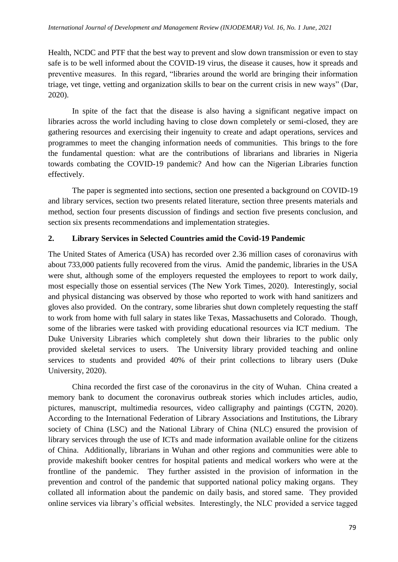Health, NCDC and PTF that the best way to prevent and slow down transmission or even to stay safe is to be well informed about the COVID-19 virus, the disease it causes, how it spreads and preventive measures. In this regard, "libraries around the world are bringing their information triage, vet tinge, vetting and organization skills to bear on the current crisis in new ways‖ (Dar, 2020).

In spite of the fact that the disease is also having a significant negative impact on libraries across the world including having to close down completely or semi-closed, they are gathering resources and exercising their ingenuity to create and adapt operations, services and programmes to meet the changing information needs of communities. This brings to the fore the fundamental question: what are the contributions of librarians and libraries in Nigeria towards combating the COVID-19 pandemic? And how can the Nigerian Libraries function effectively.

The paper is segmented into sections, section one presented a background on COVID-19 and library services, section two presents related literature, section three presents materials and method, section four presents discussion of findings and section five presents conclusion, and section six presents recommendations and implementation strategies.

# **2. Library Services in Selected Countries amid the Covid-19 Pandemic**

The United States of America (USA) has recorded over 2.36 million cases of coronavirus with about 733,000 patients fully recovered from the virus. Amid the pandemic, libraries in the USA were shut, although some of the employers requested the employees to report to work daily, most especially those on essential services (The New York Times, 2020). Interestingly, social and physical distancing was observed by those who reported to work with hand sanitizers and gloves also provided. On the contrary, some libraries shut down completely requesting the staff to work from home with full salary in states like Texas, Massachusetts and Colorado. Though, some of the libraries were tasked with providing educational resources via ICT medium. The Duke University Libraries which completely shut down their libraries to the public only provided skeletal services to users. The University library provided teaching and online services to students and provided 40% of their print collections to library users (Duke University, 2020).

China recorded the first case of the coronavirus in the city of Wuhan. China created a memory bank to document the coronavirus outbreak stories which includes articles, audio, pictures, manuscript, multimedia resources, video calligraphy and paintings (CGTN, 2020). According to the International Federation of Library Associations and Institutions, the Library society of China (LSC) and the National Library of China (NLC) ensured the provision of library services through the use of ICTs and made information available online for the citizens of China. Additionally, librarians in Wuhan and other regions and communities were able to provide makeshift booker centres for hospital patients and medical workers who were at the frontline of the pandemic. They further assisted in the provision of information in the prevention and control of the pandemic that supported national policy making organs. They collated all information about the pandemic on daily basis, and stored same. They provided online services via library's official websites. Interestingly, the NLC provided a service tagged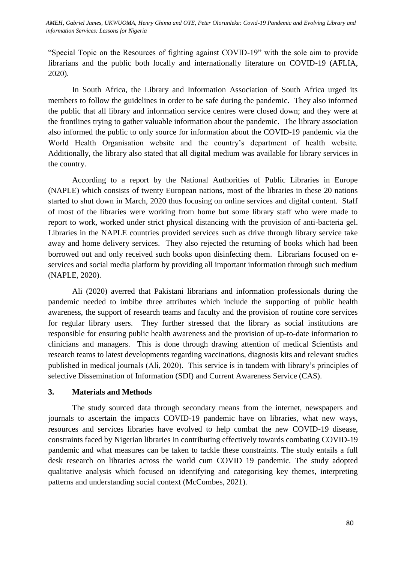*International Journal of Development and Management Review (INJODEMAR) Vol. 16, No. 1 June, 2021 information Services: Lessons for Nigeria AMEH, Gabriel James, UKWUOMA, Henry Chima and OYE, Peter Olorunleke: Covid-19 Pandemic and Evolving Library and* 

"Special Topic on the Resources of fighting against COVID-19" with the sole aim to provide librarians and the public both locally and internationally literature on COVID-19 (AFLIA, 2020).

In South Africa, the Library and Information Association of South Africa urged its members to follow the guidelines in order to be safe during the pandemic. They also informed the public that all library and information service centres were closed down; and they were at the frontlines trying to gather valuable information about the pandemic. The library association also informed the public to only source for information about the COVID-19 pandemic via the World Health Organisation website and the country's department of health website. Additionally, the library also stated that all digital medium was available for library services in the country.

According to a report by the National Authorities of Public Libraries in Europe (NAPLE) which consists of twenty European nations, most of the libraries in these 20 nations started to shut down in March, 2020 thus focusing on online services and digital content. Staff of most of the libraries were working from home but some library staff who were made to report to work, worked under strict physical distancing with the provision of anti-bacteria gel. Libraries in the NAPLE countries provided services such as drive through library service take away and home delivery services. They also rejected the returning of books which had been borrowed out and only received such books upon disinfecting them. Librarians focused on eservices and social media platform by providing all important information through such medium (NAPLE, 2020).

Ali (2020) averred that Pakistani librarians and information professionals during the pandemic needed to imbibe three attributes which include the supporting of public health awareness, the support of research teams and faculty and the provision of routine core services for regular library users. They further stressed that the library as social institutions are responsible for ensuring public health awareness and the provision of up-to-date information to clinicians and managers. This is done through drawing attention of medical Scientists and research teams to latest developments regarding vaccinations, diagnosis kits and relevant studies published in medical journals (Ali, 2020). This service is in tandem with library's principles of selective Dissemination of Information (SDI) and Current Awareness Service (CAS).

#### **3. Materials and Methods**

The study sourced data through secondary means from the internet, newspapers and journals to ascertain the impacts COVID-19 pandemic have on libraries, what new ways, resources and services libraries have evolved to help combat the new COVID-19 disease, constraints faced by Nigerian libraries in contributing effectively towards combating COVID-19 pandemic and what measures can be taken to tackle these constraints. The study entails a full desk research on libraries across the world cum COVID 19 pandemic. The study adopted qualitative analysis which focused on identifying and categorising key themes, interpreting patterns and understanding social context (McCombes, 2021).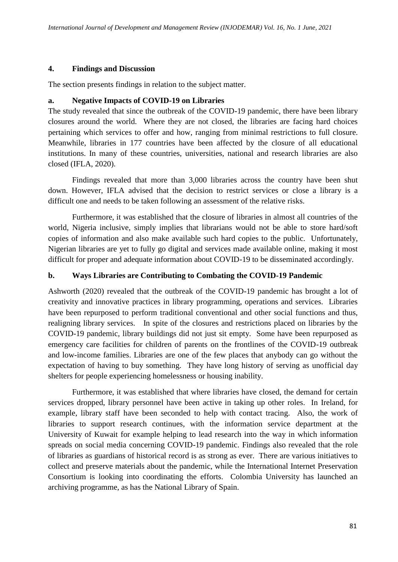### **4. Findings and Discussion**

The section presents findings in relation to the subject matter.

## **a. Negative Impacts of COVID-19 on Libraries**

The study revealed that since the outbreak of the COVID-19 pandemic, there have been library closures around the world. Where they are not closed, the libraries are facing hard choices pertaining which services to offer and how, ranging from minimal restrictions to full closure. Meanwhile, libraries in 177 countries have been affected by the closure of all educational institutions. In many of these countries, universities, national and research libraries are also closed (IFLA, 2020).

Findings revealed that more than 3,000 libraries across the country have been shut down. However, IFLA advised that the decision to restrict services or close a library is a difficult one and needs to be taken following an assessment of the relative risks.

Furthermore, it was established that the closure of libraries in almost all countries of the world, Nigeria inclusive, simply implies that librarians would not be able to store hard/soft copies of information and also make available such hard copies to the public. Unfortunately, Nigerian libraries are yet to fully go digital and services made available online, making it most difficult for proper and adequate information about COVID-19 to be disseminated accordingly.

## **b. Ways Libraries are Contributing to Combating the COVID-19 Pandemic**

Ashworth (2020) revealed that the outbreak of the COVID-19 pandemic has brought a lot of creativity and innovative practices in library programming, operations and services. Libraries have been repurposed to perform traditional conventional and other social functions and thus, realigning library services. In spite of the closures and restrictions placed on libraries by the COVID-19 pandemic, library buildings did not just sit empty. Some have been repurposed as emergency care facilities for children of parents on the frontlines of the COVID-19 outbreak and low-income families. Libraries are one of the few places that anybody can go without the expectation of having to buy something. They have long history of serving as unofficial day shelters for people experiencing homelessness or housing inability.

Furthermore, it was established that where libraries have closed, the demand for certain services dropped, library personnel have been active in taking up other roles. In Ireland, for example, library staff have been seconded to help with contact tracing. Also, the work of libraries to support research continues, with the information service department at the University of Kuwait for example helping to lead research into the way in which information spreads on social media concerning COVID-19 pandemic. Findings also revealed that the role of libraries as guardians of historical record is as strong as ever. There are various initiatives to collect and preserve materials about the pandemic, while the International Internet Preservation Consortium is looking into coordinating the efforts. Colombia University has launched an archiving programme, as has the National Library of Spain.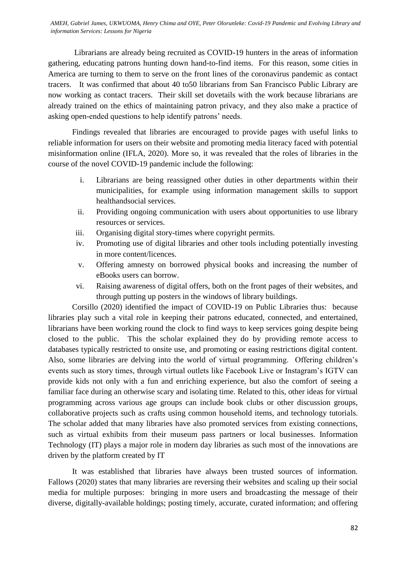AMEH, Gabriel James, UKWUOMA, Henry Chima and OYE, Peter Olorunleke: Covid-19 Pandemic and Evolving Library and<br>information Semisses: Lassens for Niosnia *information Services: Lessons for Nigeria*

Librarians are already being recruited as COVID-19 hunters in the areas of information gathering, educating patrons hunting down hand-to-find items. For this reason, some cities in America are turning to them to serve on the front lines of the coronavirus pandemic as contact tracers. It was confirmed that about 40 to50 librarians from San Francisco Public Library are now working as contact tracers. Their skill set dovetails with the work because librarians are already trained on the ethics of maintaining patron privacy, and they also make a practice of asking open-ended questions to help identify patrons' needs.

Findings revealed that libraries are encouraged to provide pages with useful links to reliable information for users on their website and promoting media literacy faced with potential misinformation online (IFLA, 2020). More so, it was revealed that the roles of libraries in the course of the novel COVID-19 pandemic include the following:

- i. Librarians are being reassigned other duties in other departments within their municipalities, for example using information management skills to support healthandsocial services.
- ii. Providing ongoing communication with users about opportunities to use library resources or services.
- iii. Organising digital story-times where copyright permits.
- iv. Promoting use of digital libraries and other tools including potentially investing in more content/licences.
- v. Offering amnesty on borrowed physical books and increasing the number of eBooks users can borrow.
- vi. Raising awareness of digital offers, both on the front pages of their websites, and through putting up posters in the windows of library buildings.

Corsillo (2020) identified the impact of COVID-19 on Public Libraries thus: because libraries play such a vital role in keeping their patrons educated, connected, and entertained, librarians have been working round the clock to find ways to keep services going despite being closed to the public. This the scholar explained they do by providing remote access to databases typically restricted to onsite use, and promoting or easing restrictions digital content. Also, some libraries are delving into the world of virtual programming. Offering children's events such as story times, through virtual outlets like Facebook Live or Instagram's IGTV can provide kids not only with a fun and enriching experience, but also the comfort of seeing a familiar face during an otherwise scary and isolating time. Related to this, other ideas for virtual programming across various age groups can include book clubs or other discussion groups, collaborative projects such as crafts using common household items, and technology tutorials. The scholar added that many libraries have also promoted services from existing connections, such as virtual exhibits from their museum pass partners or local businesses. Information Technology (IT) plays a major role in modern day libraries as such most of the innovations are driven by the platform created by IT

It was established that libraries have always been trusted sources of information. Fallows (2020) states that many libraries are reversing their websites and scaling up their social media for multiple purposes: bringing in more users and broadcasting the message of their diverse, digitally-available holdings; posting timely, accurate, curated information; and offering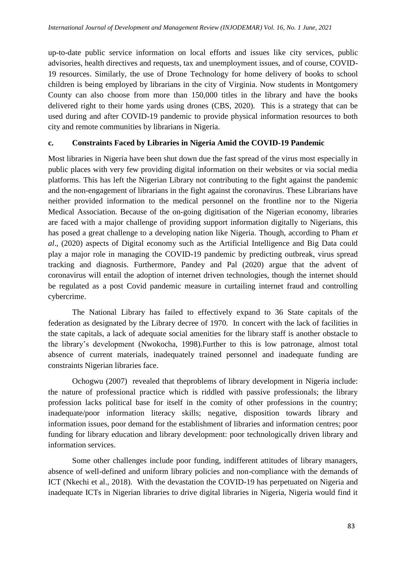up-to-date public service information on local efforts and issues like city services, public advisories, health directives and requests, tax and unemployment issues, and of course, COVID-19 resources. Similarly, the use of Drone Technology for home delivery of books to school children is being employed by librarians in the city of Virginia. Now students in Montgomery County can also choose from more than 150,000 titles in the library and have the books delivered right to their home yards using drones (CBS, 2020). This is a strategy that can be used during and after COVID-19 pandemic to provide physical information resources to both city and remote communities by librarians in Nigeria.

#### **c. Constraints Faced by Libraries in Nigeria Amid the COVID-19 Pandemic**

Most libraries in Nigeria have been shut down due the fast spread of the virus most especially in public places with very few providing digital information on their websites or via social media platforms. This has left the Nigerian Library not contributing to the fight against the pandemic and the non-engagement of librarians in the fight against the coronavirus. These Librarians have neither provided information to the medical personnel on the frontline nor to the Nigeria Medical Association. Because of the on-going digitisation of the Nigerian economy, libraries are faced with a major challenge of providing support information digitally to Nigerians, this has posed a great challenge to a developing nation like Nigeria. Though, according to Pham *et al*., (2020) aspects of Digital economy such as the Artificial Intelligence and Big Data could play a major role in managing the COVID-19 pandemic by predicting outbreak, virus spread tracking and diagnosis. Furthermore, Pandey and Pal (2020) argue that the advent of coronavirus will entail the adoption of internet driven technologies, though the internet should be regulated as a post Covid pandemic measure in curtailing internet fraud and controlling cybercrime.

The National Library has failed to effectively expand to 36 State capitals of the federation as designated by the Library decree of 1970. In concert with the lack of facilities in the state capitals, a lack of adequate social amenities for the library staff is another obstacle to the library's development (Nwokocha, 1998).Further to this is low patronage, almost total absence of current materials, inadequately trained personnel and inadequate funding are constraints Nigerian libraries face.

Ochogwu (2007) revealed that theproblems of library development in Nigeria include: the nature of professional practice which is riddled with passive professionals; the library profession lacks political base for itself in the comity of other professions in the country; inadequate/poor information literacy skills; negative, disposition towards library and information issues, poor demand for the establishment of libraries and information centres; poor funding for library education and library development: poor technologically driven library and information services.

Some other challenges include poor funding, indifferent attitudes of library managers, absence of well-defined and uniform library policies and non-compliance with the demands of ICT (Nkechi et al., 2018). With the devastation the COVID-19 has perpetuated on Nigeria and inadequate ICTs in Nigerian libraries to drive digital libraries in Nigeria, Nigeria would find it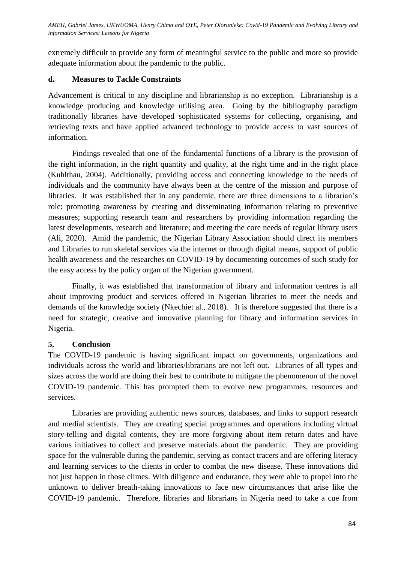AMEH, Gabriel James, UKWUOMA, Henry Chima and OYE, Peter Olorunleke: Covid-19 Pandemic and Evolving Library and *information Services: Lessons for Nigeria*

extremely difficult to provide any form of meaningful service to the public and more so provide adequate information about the pandemic to the public.

#### **d. Measures to Tackle Constraints**

Advancement is critical to any discipline and librarianship is no exception. Librarianship is a knowledge producing and knowledge utilising area. Going by the bibliography paradigm traditionally libraries have developed sophisticated systems for collecting, organising, and retrieving texts and have applied advanced technology to provide access to vast sources of information.

Findings revealed that one of the fundamental functions of a library is the provision of the right information, in the right quantity and quality, at the right time and in the right place (Kuhlthau, 2004). Additionally, providing access and connecting knowledge to the needs of individuals and the community have always been at the centre of the mission and purpose of libraries. It was established that in any pandemic, there are three dimensions to a librarian's role: promoting awareness by creating and disseminating information relating to preventive measures; supporting research team and researchers by providing information regarding the latest developments, research and literature; and meeting the core needs of regular library users (Ali, 2020). Amid the pandemic, the Nigerian Library Association should direct its members and Libraries to run skeletal services via the internet or through digital means, support of public health awareness and the researches on COVID-19 by documenting outcomes of such study for the easy access by the policy organ of the Nigerian government.

Finally, it was established that transformation of library and information centres is all about improving product and services offered in Nigerian libraries to meet the needs and demands of the knowledge society (Nkechiet al., 2018). It is therefore suggested that there is a need for strategic, creative and innovative planning for library and information services in Nigeria.

## **5. Conclusion**

The COVID-19 pandemic is having significant impact on governments, organizations and individuals across the world and libraries/librarians are not left out. Libraries of all types and sizes across the world are doing their best to contribute to mitigate the phenomenon of the novel COVID-19 pandemic. This has prompted them to evolve new programmes, resources and services.

Libraries are providing authentic news sources, databases, and links to support research and medial scientists. They are creating special programmes and operations including virtual story-telling and digital contents, they are more forgiving about item return dates and have various initiatives to collect and preserve materials about the pandemic. They are providing space for the vulnerable during the pandemic, serving as contact tracers and are offering literacy and learning services to the clients in order to combat the new disease. These innovations did not just happen in those climes. With diligence and endurance, they were able to propel into the unknown to deliver breath-taking innovations to face new circumstances that arise like the COVID-19 pandemic. Therefore, libraries and librarians in Nigeria need to take a cue from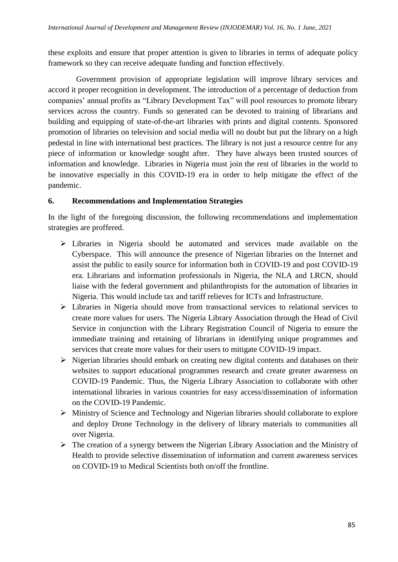these exploits and ensure that proper attention is given to libraries in terms of adequate policy framework so they can receive adequate funding and function effectively.

 Government provision of appropriate legislation will improve library services and accord it proper recognition in development. The introduction of a percentage of deduction from companies' annual profits as "Library Development Tax" will pool resources to promote library services across the country. Funds so generated can be devoted to training of librarians and building and equipping of state-of-the-art libraries with prints and digital contents. Sponsored promotion of libraries on television and social media will no doubt but put the library on a high pedestal in line with international best practices. The library is not just a resource centre for any piece of information or knowledge sought after. They have always been trusted sources of information and knowledge. Libraries in Nigeria must join the rest of libraries in the world to be innovative especially in this COVID-19 era in order to help mitigate the effect of the pandemic.

#### **6. Recommendations and Implementation Strategies**

In the light of the foregoing discussion, the following recommendations and implementation strategies are proffered.

- Libraries in Nigeria should be automated and services made available on the Cyberspace. This will announce the presence of Nigerian libraries on the Internet and assist the public to easily source for information both in COVID-19 and post COVID-19 era. Librarians and information professionals in Nigeria, the NLA and LRCN, should liaise with the federal government and philanthropists for the automation of libraries in Nigeria. This would include tax and tariff relieves for ICTs and Infrastructure.
- Libraries in Nigeria should move from transactional services to relational services to create more values for users. The Nigeria Library Association through the Head of Civil Service in conjunction with the Library Registration Council of Nigeria to ensure the immediate training and retaining of librarians in identifying unique programmes and services that create more values for their users to mitigate COVID-19 impact.
- $\triangleright$  Nigerian libraries should embark on creating new digital contents and databases on their websites to support educational programmes research and create greater awareness on COVID-19 Pandemic. Thus, the Nigeria Library Association to collaborate with other international libraries in various countries for easy access/dissemination of information on the COVID-19 Pandemic.
- Ministry of Science and Technology and Nigerian libraries should collaborate to explore and deploy Drone Technology in the delivery of library materials to communities all over Nigeria.
- $\triangleright$  The creation of a synergy between the Nigerian Library Association and the Ministry of Health to provide selective dissemination of information and current awareness services on COVID-19 to Medical Scientists both on/off the frontline.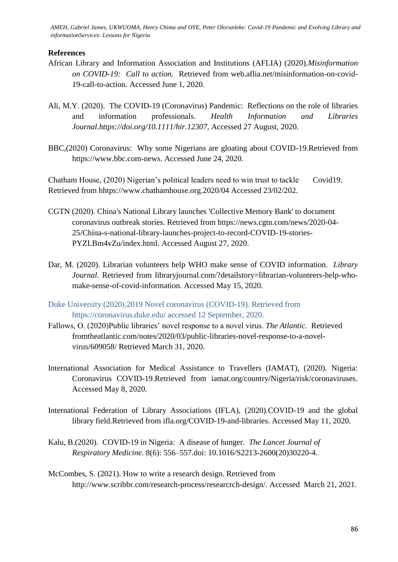AMEH, Gabriel James, UKWUOMA, Henry Chima and OYE, Peter Olorunleke: Covid-19 Pandemic and Evolving Library and *informationServices: Lessons for Nigeria*

## **References**

- African Library and Information Association and Institutions (AFLIA) (2020).*Misinformation on COVID-19: Call to action.* Retrieved from web.aflia.net/misinformation-on-covid-19-call-to-action. Accessed June 1, 2020.
- Ali, M.Y. (2020). The COVID-19 (Coronavirus) Pandemic: Reflections on the role of libraries and information professionals. *Health Information and Libraries Journal.https://doi.org/10.1111/hir.12307,* Accessed 27 August, 2020.
- BBC,(2020) Coronavirus: Why some Nigerians are gloating about COVID-19.Retrieved from https://www.bbc.com-news. Accessed June 24, 2020.

Chatham House, (2020) Nigerian's political leaders need to win trust to tackle Covid19. Retrieved from hhtps://www.chathamhouse.org.2020/04 Accessed 23/02/202.

- CGTN (2020). China's National Library launches 'Collective Memory Bank' to document coronavirus outbreak stories. Retrieved from https://news.cgtn.com/news/2020-04- 25/China-s-national-library-launches-project-to-record-COVID-19-stories-PYZLBm4vZu/index.html. Accessed August 27, 2020.
- Dar, M. (2020). Librarian volunteers help WHO make sense of COVID information. *Library Journal.* Retrieved from libraryjournal.com/?detailstory=librarian-volunteers-help-whomake-sense-of-covid-information. Accessed May 15, 2020.
- Duke University (2020).2019 Novel coronavirus (COVID-19). Retrieved from https://coronavirus.duke.edu/ accessed 12 September, 2020.
- Fallows, O. (2020)Public libraries' novel response to a novel virus. *The Atlantic.* Retrieved fromtheatlantic.com/notes/2020/03/public-libraries-novel-response-to-a-novelvirus/609058/ Retrieved March 31, 2020.
- International Association for Medical Assistance to Travellers (IAMAT), (2020). Nigeria: Coronavirus COVID-19.Retrieved from iamat.org/country/Nigeria/risk/coronaviruses. Accessed May 8, 2020.
- International Federation of Library Associations (IFLA), (2020).COVID-19 and the global library field.Retrieved from ifla.org/COVID-19-and-libraries. Accessed May 11, 2020.
- Kalu, B.(2020). COVID-19 in Nigeria: A disease of hunger. *The Lancet Journal of Respiratory Medicine*. 8(6): 556–557.doi: 10.1016/S2213-2600(20)30220-4.
- McCombes, S. (2021). How to write a research design. Retrieved from http://www.scribbr.com/research-process/researcrch-design/. Accessed March 21, 2021.